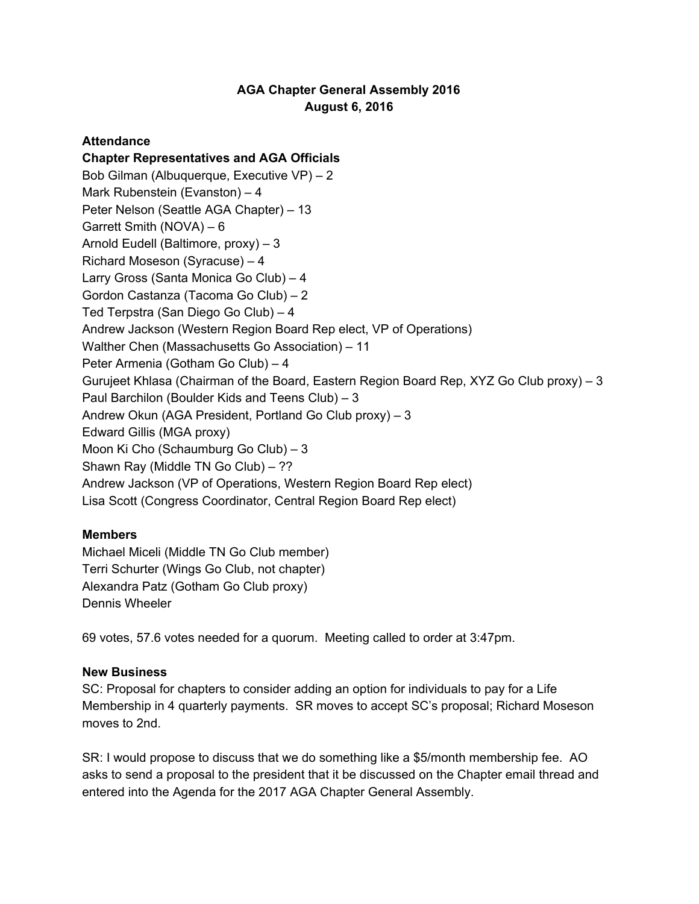# **AGA Chapter General Assembly 2016 August 6, 2016**

## **Attendance**

### **Chapter Representatives and AGA Officials**

Bob Gilman (Albuquerque, Executive VP) – 2 Mark Rubenstein (Evanston) – 4 Peter Nelson (Seattle AGA Chapter) – 13 Garrett Smith (NOVA) – 6 Arnold Eudell (Baltimore, proxy) – 3 Richard Moseson (Syracuse) – 4 Larry Gross (Santa Monica Go Club) – 4 Gordon Castanza (Tacoma Go Club) – 2 Ted Terpstra (San Diego Go Club) – 4 Andrew Jackson (Western Region Board Rep elect, VP of Operations) Walther Chen (Massachusetts Go Association) – 11 Peter Armenia (Gotham Go Club) – 4 Gurujeet Khlasa (Chairman of the Board, Eastern Region Board Rep, XYZ Go Club proxy) – 3 Paul Barchilon (Boulder Kids and Teens Club) – 3 Andrew Okun (AGA President, Portland Go Club proxy) – 3 Edward Gillis (MGA proxy) Moon Ki Cho (Schaumburg Go Club) – 3 Shawn Ray (Middle TN Go Club) – ?? Andrew Jackson (VP of Operations, Western Region Board Rep elect) Lisa Scott (Congress Coordinator, Central Region Board Rep elect)

### **Members**

Michael Miceli (Middle TN Go Club member) Terri Schurter (Wings Go Club, not chapter) Alexandra Patz (Gotham Go Club proxy) Dennis Wheeler

69 votes, 57.6 votes needed for a quorum. Meeting called to order at 3:47pm.

### **New Business**

SC: Proposal for chapters to consider adding an option for individuals to pay for a Life Membership in 4 quarterly payments. SR moves to accept SC's proposal; Richard Moseson moves to 2nd.

SR: I would propose to discuss that we do something like a \$5/month membership fee. AO asks to send a proposal to the president that it be discussed on the Chapter email thread and entered into the Agenda for the 2017 AGA Chapter General Assembly.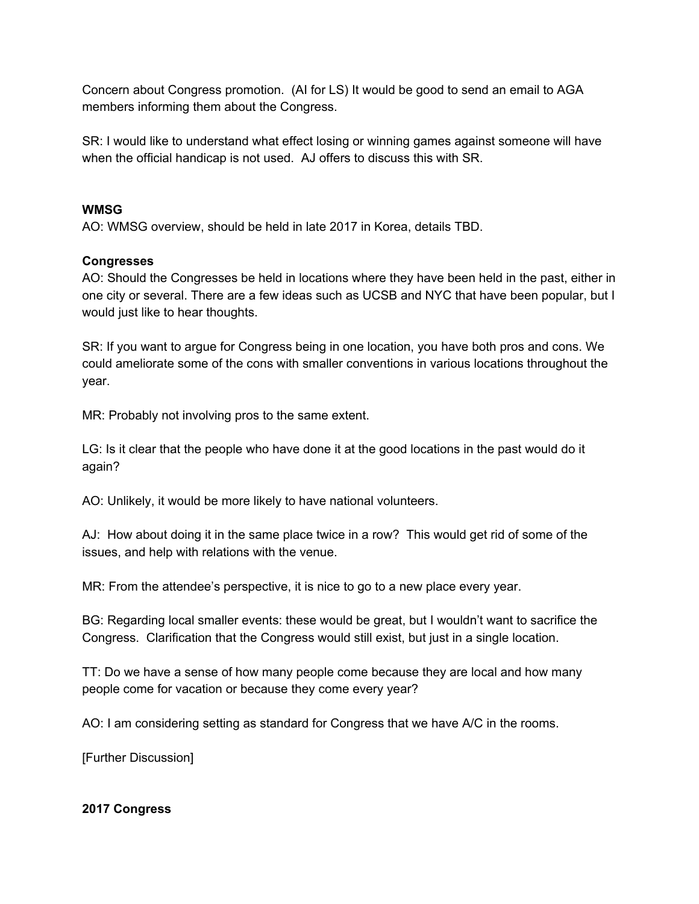Concern about Congress promotion. (AI for LS) It would be good to send an email to AGA members informing them about the Congress.

SR: I would like to understand what effect losing or winning games against someone will have when the official handicap is not used. AJ offers to discuss this with SR.

### **WMSG**

AO: WMSG overview, should be held in late 2017 in Korea, details TBD.

## **Congresses**

AO: Should the Congresses be held in locations where they have been held in the past, either in one city or several. There are a few ideas such as UCSB and NYC that have been popular, but I would just like to hear thoughts.

SR: If you want to argue for Congress being in one location, you have both pros and cons. We could ameliorate some of the cons with smaller conventions in various locations throughout the year.

MR: Probably not involving pros to the same extent.

LG: Is it clear that the people who have done it at the good locations in the past would do it again?

AO: Unlikely, it would be more likely to have national volunteers.

AJ: How about doing it in the same place twice in a row? This would get rid of some of the issues, and help with relations with the venue.

MR: From the attendee's perspective, it is nice to go to a new place every year.

BG: Regarding local smaller events: these would be great, but I wouldn't want to sacrifice the Congress. Clarification that the Congress would still exist, but just in a single location.

TT: Do we have a sense of how many people come because they are local and how many people come for vacation or because they come every year?

AO: I am considering setting as standard for Congress that we have A/C in the rooms.

[Further Discussion]

### **2017 Congress**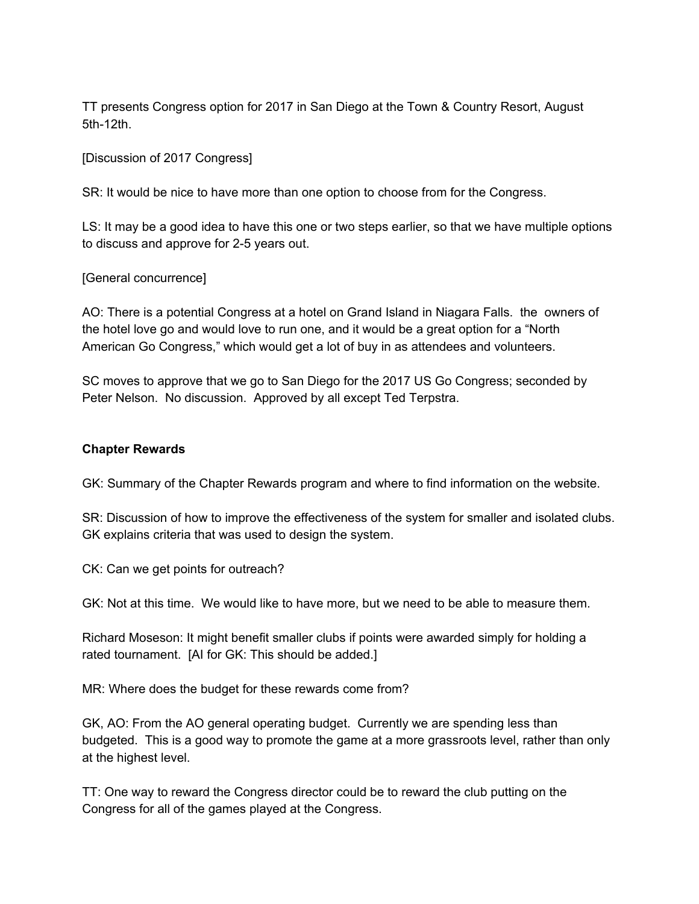TT presents Congress option for 2017 in San Diego at the Town & Country Resort, August 5th-12th.

[Discussion of 2017 Congress]

SR: It would be nice to have more than one option to choose from for the Congress.

LS: It may be a good idea to have this one or two steps earlier, so that we have multiple options to discuss and approve for 2-5 years out.

#### [General concurrence]

AO: There is a potential Congress at a hotel on Grand Island in Niagara Falls. the owners of the hotel love go and would love to run one, and it would be a great option for a "North American Go Congress," which would get a lot of buy in as attendees and volunteers.

SC moves to approve that we go to San Diego for the 2017 US Go Congress; seconded by Peter Nelson. No discussion. Approved by all except Ted Terpstra.

#### **Chapter Rewards**

GK: Summary of the Chapter Rewards program and where to find information on the website.

SR: Discussion of how to improve the effectiveness of the system for smaller and isolated clubs. GK explains criteria that was used to design the system.

CK: Can we get points for outreach?

GK: Not at this time. We would like to have more, but we need to be able to measure them.

Richard Moseson: It might benefit smaller clubs if points were awarded simply for holding a rated tournament. [AI for GK: This should be added.]

MR: Where does the budget for these rewards come from?

GK, AO: From the AO general operating budget. Currently we are spending less than budgeted. This is a good way to promote the game at a more grassroots level, rather than only at the highest level.

TT: One way to reward the Congress director could be to reward the club putting on the Congress for all of the games played at the Congress.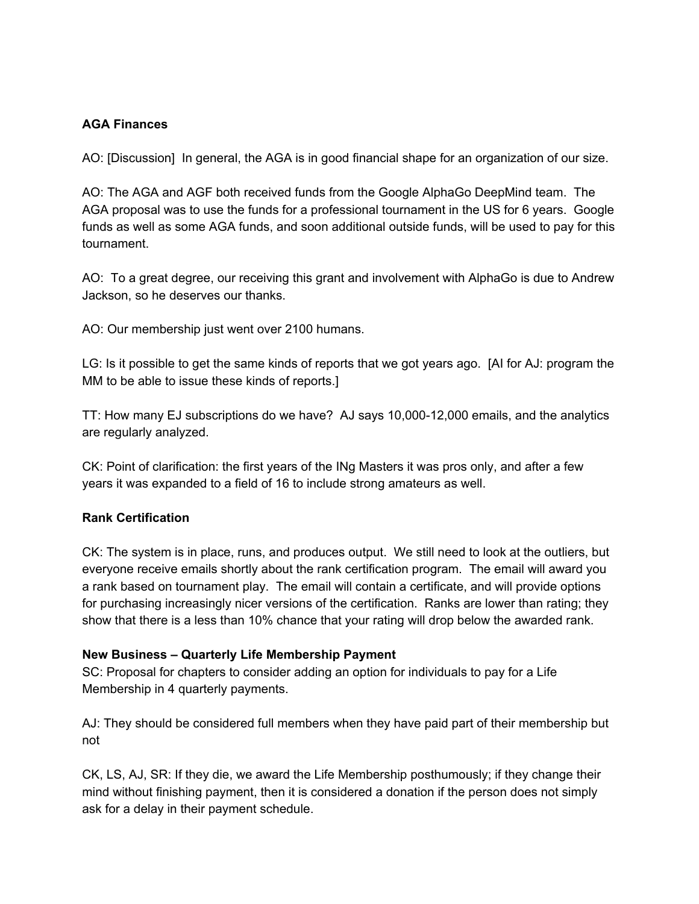### **AGA Finances**

AO: [Discussion] In general, the AGA is in good financial shape for an organization of our size.

AO: The AGA and AGF both received funds from the Google AlphaGo DeepMind team. The AGA proposal was to use the funds for a professional tournament in the US for 6 years. Google funds as well as some AGA funds, and soon additional outside funds, will be used to pay for this tournament.

AO: To a great degree, our receiving this grant and involvement with AlphaGo is due to Andrew Jackson, so he deserves our thanks.

AO: Our membership just went over 2100 humans.

LG: Is it possible to get the same kinds of reports that we got years ago. [AI for AJ: program the MM to be able to issue these kinds of reports.]

TT: How many EJ subscriptions do we have? AJ says 10,000-12,000 emails, and the analytics are regularly analyzed.

CK: Point of clarification: the first years of the INg Masters it was pros only, and after a few years it was expanded to a field of 16 to include strong amateurs as well.

### **Rank Certification**

CK: The system is in place, runs, and produces output. We still need to look at the outliers, but everyone receive emails shortly about the rank certification program. The email will award you a rank based on tournament play. The email will contain a certificate, and will provide options for purchasing increasingly nicer versions of the certification. Ranks are lower than rating; they show that there is a less than 10% chance that your rating will drop below the awarded rank.

### **New Business – Quarterly Life Membership Payment**

SC: Proposal for chapters to consider adding an option for individuals to pay for a Life Membership in 4 quarterly payments.

AJ: They should be considered full members when they have paid part of their membership but not

CK, LS, AJ, SR: If they die, we award the Life Membership posthumously; if they change their mind without finishing payment, then it is considered a donation if the person does not simply ask for a delay in their payment schedule.